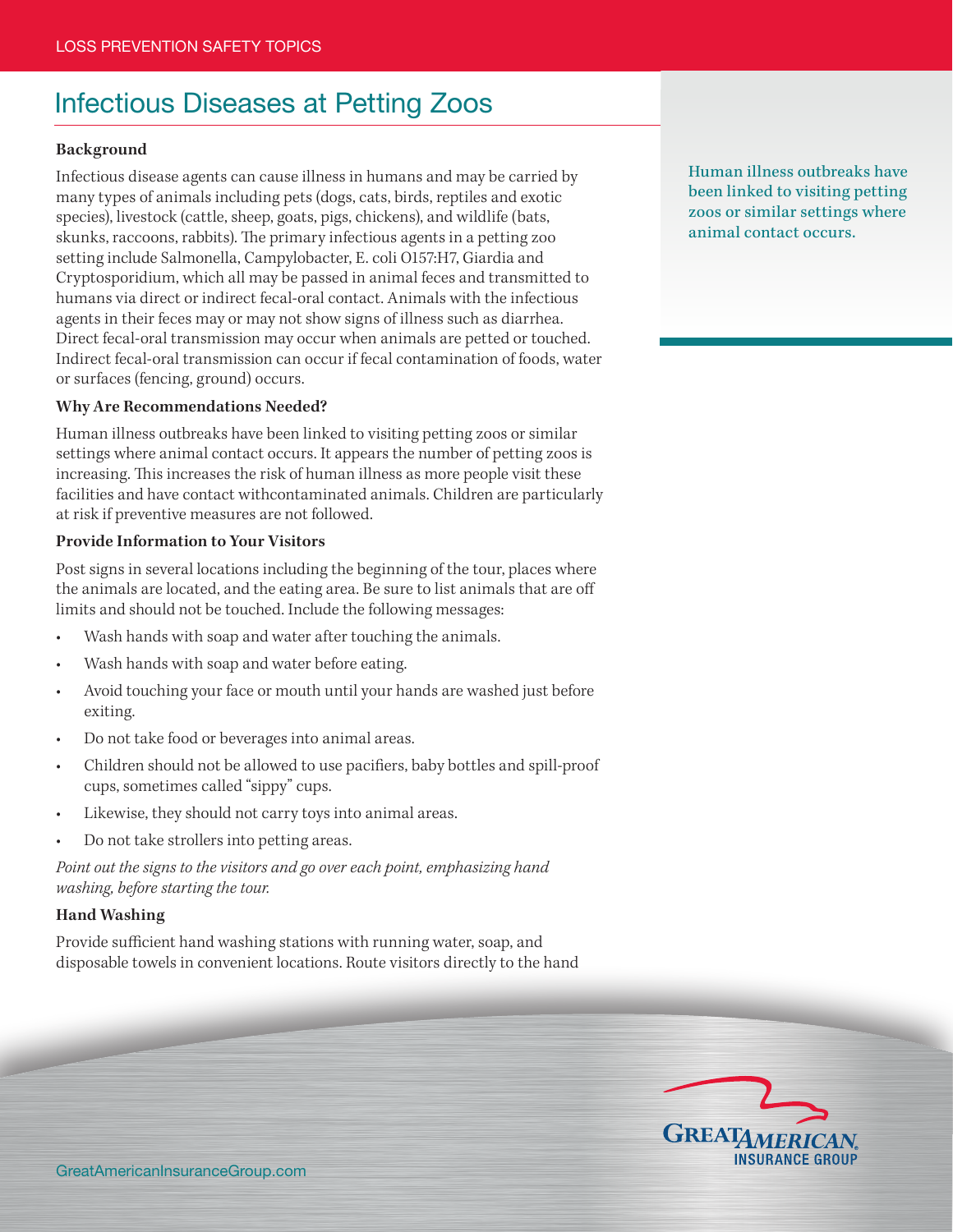# Infectious Diseases at Petting Zoos

## **Background**

Infectious disease agents can cause illness in humans and may be carried by many types of animals including pets (dogs, cats, birds, reptiles and exotic species), livestock (cattle, sheep, goats, pigs, chickens), and wildlife (bats, skunks, raccoons, rabbits). The primary infectious agents in a petting zoo setting include Salmonella, Campylobacter, E. coli O157:H7, Giardia and Cryptosporidium, which all may be passed in animal feces and transmitted to humans via direct or indirect fecal-oral contact. Animals with the infectious agents in their feces may or may not show signs of illness such as diarrhea. Direct fecal-oral transmission may occur when animals are petted or touched. Indirect fecal-oral transmission can occur if fecal contamination of foods, water or surfaces (fencing, ground) occurs.

#### **Why Are Recommendations Needed?**

Human illness outbreaks have been linked to visiting petting zoos or similar settings where animal contact occurs. It appears the number of petting zoos is increasing. This increases the risk of human illness as more people visit these facilities and have contact withcontaminated animals. Children are particularly at risk if preventive measures are not followed.

#### **Provide Information to Your Visitors**

Post signs in several locations including the beginning of the tour, places where the animals are located, and the eating area. Be sure to list animals that are off limits and should not be touched. Include the following messages:

- Wash hands with soap and water after touching the animals.
- Wash hands with soap and water before eating.
- Avoid touching your face or mouth until your hands are washed just before exiting.
- Do not take food or beverages into animal areas.
- Children should not be allowed to use pacifiers, baby bottles and spill-proof cups, sometimes called "sippy" cups.
- Likewise, they should not carry toys into animal areas.
- Do not take strollers into petting areas.

*Point out the signs to the visitors and go over each point, emphasizing hand washing, before starting the tour.*

## **Hand Washing**

Provide sufficient hand washing stations with running water, soap, and disposable towels in convenient locations. Route visitors directly to the hand Human illness outbreaks have been linked to visiting petting zoos or similar settings where animal contact occurs.